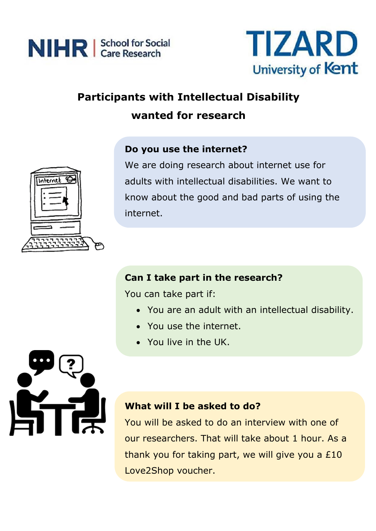



# **Participants with Intellectual Disability wanted for research**





We are doing research about internet use for adults with intellectual disabilities. We want to know about the good and bad parts of using the internet.

### **Can I take part in the research?**

You can take part if:

- You are an adult with an intellectual disability.
- You use the internet.
- You live in the UK.



### **What will I be asked to do?**

You will be asked to do an interview with one of our researchers. That will take about 1 hour. As a thank you for taking part, we will give you a £10 Love2Shop voucher.